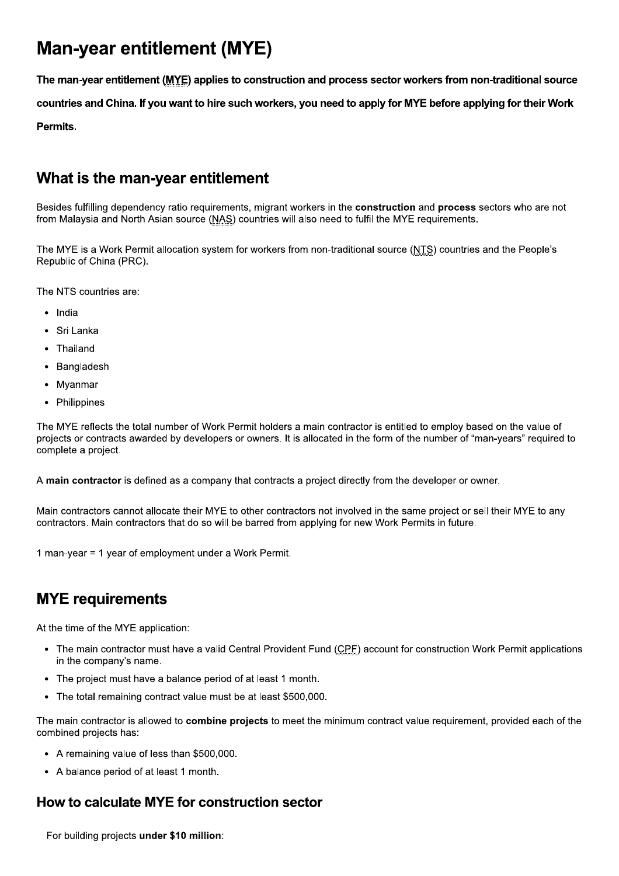# **Man-year entitlement (MYE)**

The man-year entitlement (MYE) applies to construction and process sector workers from non-traditional source countries and China. If you want to hire such workers, you need to apply for MYE before applying for their Work **Permits** 

# What is the man-year entitlement

Besides fulfilling dependency ratio requirements, migrant workers in the **construction** and **process** sectors who are not from Malaysia and North Asian source (NAS) countries will also need to fulfil the MYE requirements.

The MYE is a Work Permit allocation system for workers from non-traditional source (NTS) countries and the People's Republic of China (PRC).

The NTS countries are:

- · India
- Sri Lanka
- Thailand
- Bangladesh
- Myanmar
- Philippines

The MYE reflects the total number of Work Permit holders a main contractor is entitled to employ based on the value of projects or contracts awarded by developers or owners. It is allocated in the form of the number of "man-years" required to complete a project.

A main contractor is defined as a company that contracts a project directly from the developer or owner.

Main contractors cannot allocate their MYE to other contractors not involved in the same project or sell their MYE to any contractors. Main contractors that do so will be barred from applying for new Work Permits in future.

1 man-year = 1 year of employment under a Work Permit.

# **MYE** requirements

At the time of the MYE application:

- The main contractor must have a valid Central Provident Fund (CPF) account for construction Work Permit applications in the company's name.
- The project must have a balance period of at least 1 month.
- The total remaining contract value must be at least \$500,000.

The main contractor is allowed to combine projects to meet the minimum contract value requirement, provided each of the combined projects has:

- A remaining value of less than \$500,000.
- A balance period of at least 1 month.

## How to calculate MYE for construction sector

For building projects under \$10 million: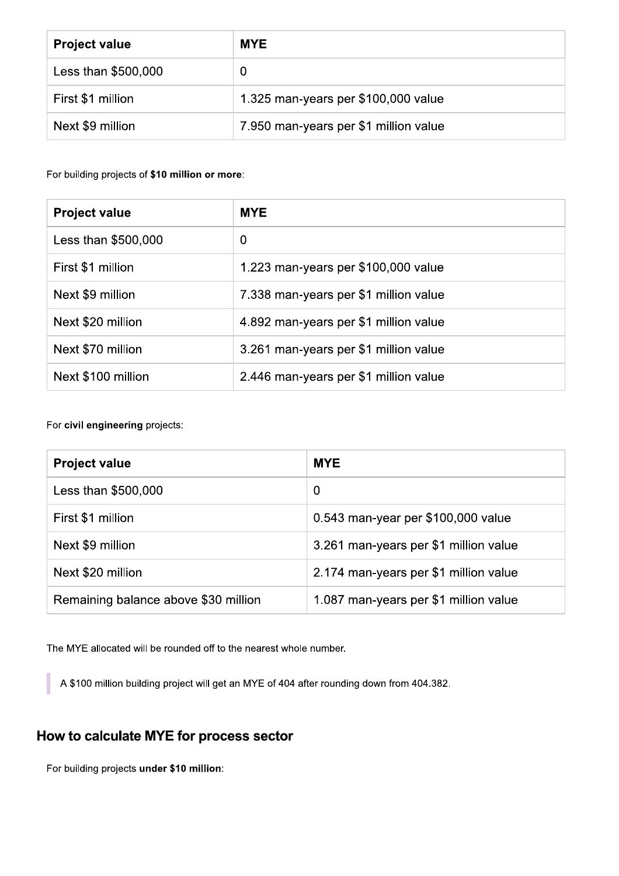| <b>Project value</b> | <b>MYE</b>                            |
|----------------------|---------------------------------------|
| Less than \$500,000  | 0                                     |
| First \$1 million    | 1.325 man-years per \$100,000 value   |
| Next \$9 million     | 7.950 man-years per \$1 million value |

For building projects of \$10 million or more:

| <b>Project value</b> | <b>MYE</b>                            |
|----------------------|---------------------------------------|
| Less than \$500,000  | 0                                     |
| First \$1 million    | 1.223 man-years per \$100,000 value   |
| Next \$9 million     | 7.338 man-years per \$1 million value |
| Next \$20 million    | 4.892 man-years per \$1 million value |
| Next \$70 million    | 3.261 man-years per \$1 million value |
| Next \$100 million   | 2.446 man-years per \$1 million value |

For civil engineering projects:

| <b>Project value</b>                 | <b>MYE</b>                            |
|--------------------------------------|---------------------------------------|
| Less than \$500,000                  | $\overline{0}$                        |
| First \$1 million                    | 0.543 man-year per \$100,000 value    |
| Next \$9 million                     | 3.261 man-years per \$1 million value |
| Next \$20 million                    | 2.174 man-years per \$1 million value |
| Remaining balance above \$30 million | 1.087 man-years per \$1 million value |

The MYE allocated will be rounded off to the nearest whole number.

A \$100 million building project will get an MYE of 404 after rounding down from 404.382.

## How to calculate MYE for process sector

For building projects under \$10 million: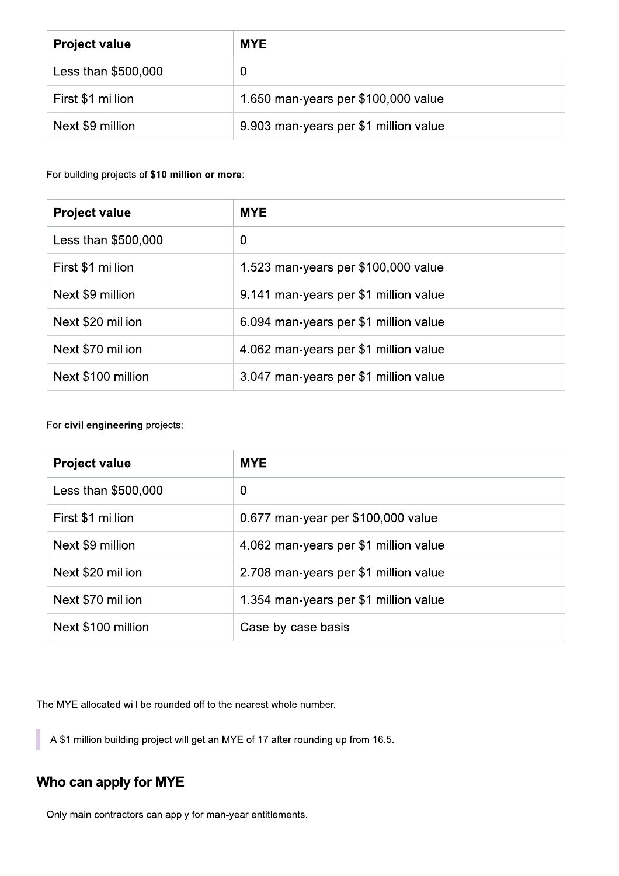| <b>Project value</b> | <b>MYE</b>                            |
|----------------------|---------------------------------------|
| Less than \$500,000  | 0                                     |
| First \$1 million    | 1.650 man-years per \$100,000 value   |
| Next \$9 million     | 9.903 man-years per \$1 million value |

For building projects of \$10 million or more:

| <b>Project value</b> | <b>MYE</b>                            |
|----------------------|---------------------------------------|
| Less than \$500,000  | $\overline{0}$                        |
| First \$1 million    | 1.523 man-years per \$100,000 value   |
| Next \$9 million     | 9.141 man-years per \$1 million value |
| Next \$20 million    | 6.094 man-years per \$1 million value |
| Next \$70 million    | 4.062 man-years per \$1 million value |
| Next \$100 million   | 3.047 man-years per \$1 million value |

For civil engineering projects:

| <b>Project value</b> | <b>MYE</b>                            |
|----------------------|---------------------------------------|
| Less than \$500,000  | 0                                     |
| First \$1 million    | 0.677 man-year per \$100,000 value    |
| Next \$9 million     | 4.062 man-years per \$1 million value |
| Next \$20 million    | 2.708 man-years per \$1 million value |
| Next \$70 million    | 1.354 man-years per \$1 million value |
| Next \$100 million   | Case-by-case basis                    |

The MYE allocated will be rounded off to the nearest whole number.

A \$1 million building project will get an MYE of 17 after rounding up from 16.5.

# Who can apply for MYE

Only main contractors can apply for man-year entitlements.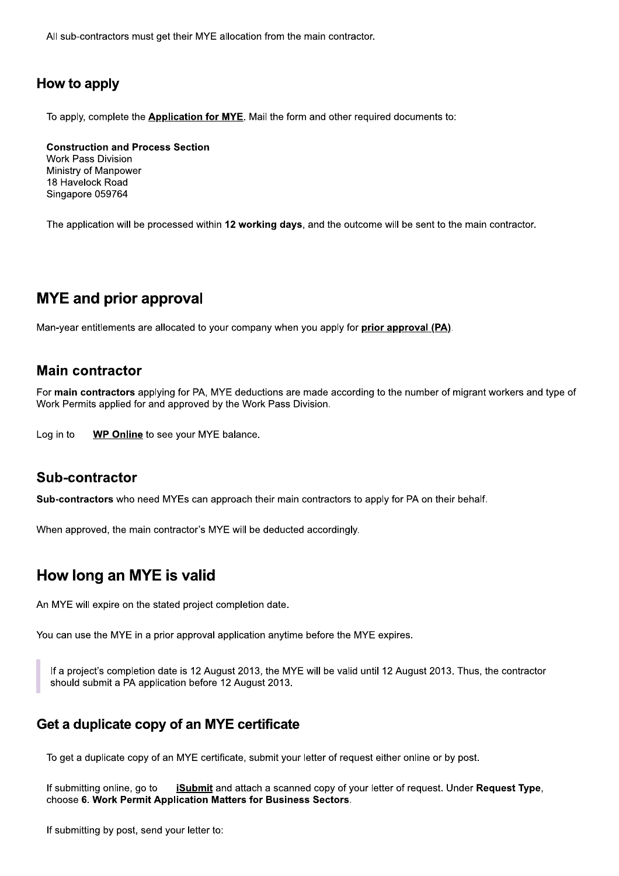All sub-contractors must get their MYE allocation from the main contractor.

#### How to apply

To apply, complete the **Application for MYE**. Mail the form and other required documents to:

**Construction and Process Section** 

Work Pass Division Ministry of Manpower 18 Havelock Road Singapore 059764

The application will be processed within 12 working days, and the outcome will be sent to the main contractor.

## **MYE** and prior approval

Man-year entitlements are allocated to your company when you apply for prior approval (PA).

#### **Main contractor**

For main contractors applying for PA, MYE deductions are made according to the number of migrant workers and type of Work Permits applied for and approved by the Work Pass Division.

Log in to **WP Online** to see your MYE balance.

#### **Sub-contractor**

Sub-contractors who need MYEs can approach their main contractors to apply for PA on their behalf.

When approved, the main contractor's MYE will be deducted accordingly.

## How long an MYE is valid

An MYE will expire on the stated project completion date.

You can use the MYE in a prior approval application anytime before the MYE expires.

If a project's completion date is 12 August 2013, the MYE will be valid until 12 August 2013. Thus, the contractor should submit a PA application before 12 August 2013.

#### Get a duplicate copy of an MYE certificate

To get a duplicate copy of an MYE certificate, submit your letter of request either online or by post.

If submitting online, go to **iSubmit** and attach a scanned copy of your letter of request. Under Request Type, choose 6. Work Permit Application Matters for Business Sectors.

If submitting by post, send your letter to: